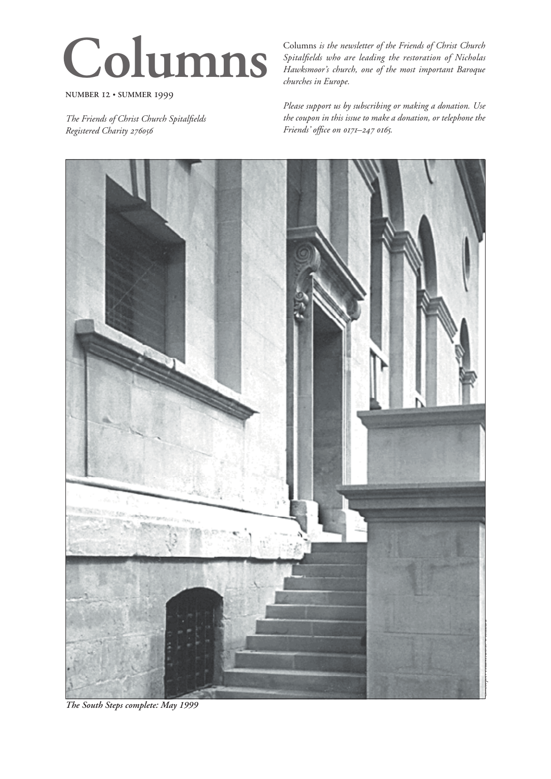# **Columns**

**NUMBER 12 · SUMMER 1999** 

*The Friends of Christ Church Spitalfields Registered Charity* 

Columns *is the newsletter of the Friends of Christ Church Spitalfields who are leading the restoration of Nicholas Hawksmoor's church, one of the most important Baroque churches in Europe.*

*Please support us by subscribing or making a donation. Use the coupon in this issue to make a donation, or telephone the*   $F$ *riends'* office on  $0171 - 247006$ .



*The South Steps complete: May 1999*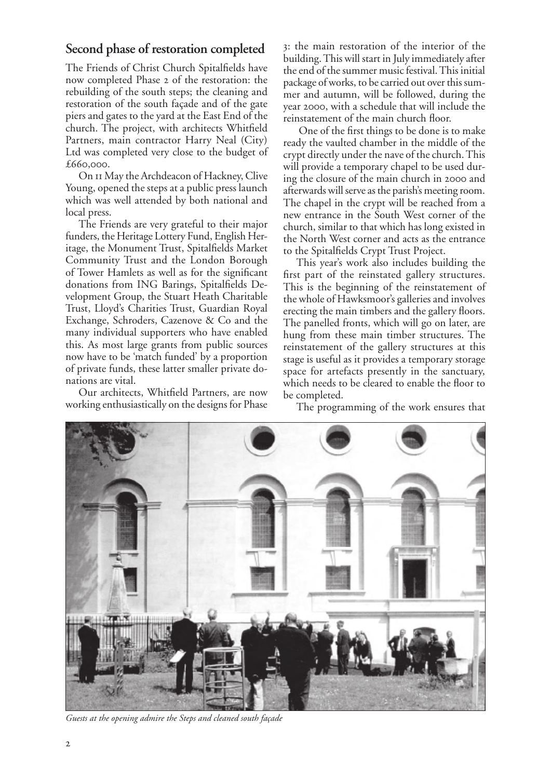## **Second phase of restoration completed**

The Friends of Christ Church Spitalfields have now completed Phase 2 of the restoration: the rebuilding of the south steps; the cleaning and restoration of the south façade and of the gate piers and gates to the yard at the East End of the church. The project, with architects Whitfield Partners, main contractor Harry Neal (City) Ltd was completed very close to the budget of  $£660,000.$ 

On II May the Archdeacon of Hackney, Clive Young, opened the steps at a public press launch which was well attended by both national and local press.

The Friends are very grateful to their major funders, the Heritage Lottery Fund, English Heritage, the Monument Trust, Spitalfields Market Community Trust and the London Borough of Tower Hamlets as well as for the significant donations from ING Barings, Spitalfields Development Group, the Stuart Heath Charitable Trust, Lloyd's Charities Trust, Guardian Royal Exchange, Schroders, Cazenove & Co and the many individual supporters who have enabled this. As most large grants from public sources now have to be 'match funded' by a proportion of private funds, these latter smaller private donations are vital.

Our architects, Whitfield Partners, are now working enthusiastically on the designs for Phase

: the main restoration of the interior of the building. This will start in July immediately after the end of the summer music festival. This initial package of works, to be carried out over this summer and autumn, will be followed, during the year 2000, with a schedule that will include the reinstatement of the main church floor.

 One of the first things to be done is to make ready the vaulted chamber in the middle of the crypt directly under the nave of the church. This will provide a temporary chapel to be used during the closure of the main church in 2000 and afterwards will serve as the parish's meeting room. The chapel in the crypt will be reached from a new entrance in the South West corner of the church, similar to that which has long existed in the North West corner and acts as the entrance to the Spitalfields Crypt Trust Project.

This year's work also includes building the first part of the reinstated gallery structures. This is the beginning of the reinstatement of the whole of Hawksmoor's galleries and involves erecting the main timbers and the gallery floors. The panelled fronts, which will go on later, are hung from these main timber structures. The reinstatement of the gallery structures at this stage is useful as it provides a temporary storage space for artefacts presently in the sanctuary, which needs to be cleared to enable the floor to be completed.

The programming of the work ensures that



*Guests at the opening admire the Steps and cleaned south façade*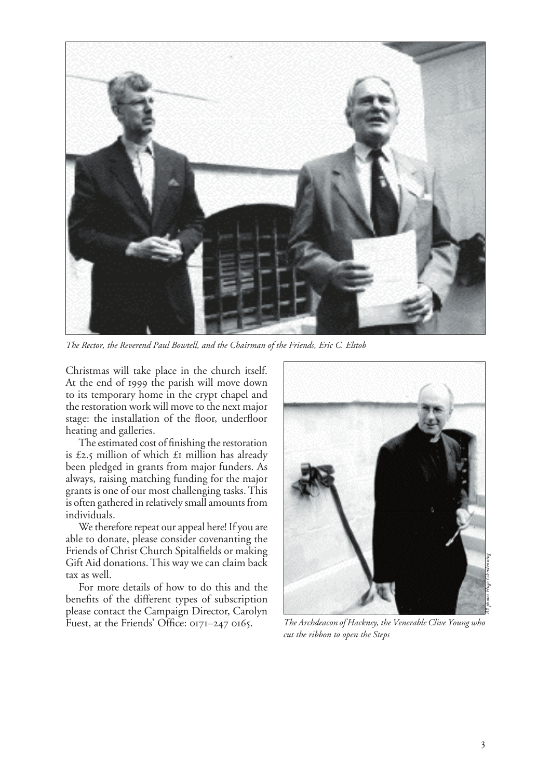

*The Rector, the Reverend Paul Bowtell, and the Chairman of the Friends, Eric C. Elstob*

Christmas will take place in the church itself. At the end of 1999 the parish will move down to its temporary home in the crypt chapel and the restoration work will move to the next major stage: the installation of the floor, underfloor heating and galleries.

The estimated cost of finishing the restoration is £2.5 million of which  $\pounds$  million has already been pledged in grants from major funders. As always, raising matching funding for the major grants is one of our most challenging tasks. This is often gathered in relatively small amounts from individuals.

We therefore repeat our appeal here! If you are able to donate, please consider covenanting the Friends of Christ Church Spitalfields or making Gift Aid donations. This way we can claim back tax as well.

For more details of how to do this and the benefits of the different types of subscription please contact the Campaign Director, Carolyn Fuest, at the Friends' Office:  $0171-247$   $0165$ .



*The Archdeacon of Hackney, the Venerable Clive Young who cut the ribbon to open the Steps*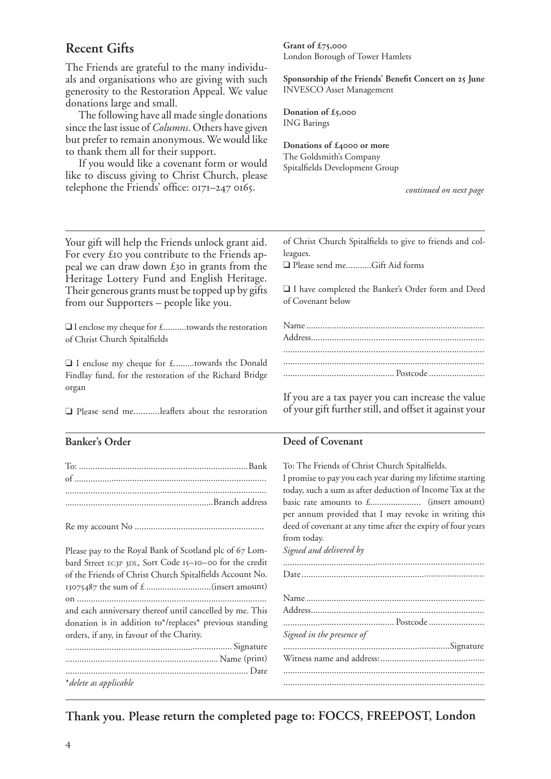# **Recent Gifts**

The Friends are grateful to the many individuals and organisations who are giving with such generosity to the Restoration Appeal. We value donations large and small.

The following have all made single donations since the last issue of *Columns*. Others have given but prefer to remain anonymous. We would like to thank them all for their support.

If you would like a covenant form or would like to discuss giving to Christ Church, please telephone the Friends' office:  $017I-247$   $0165$ .

**Grant of £,** London Borough of Tower Hamlets

Sponsorship of the Friends' Benefit Concert on 25 June INVESCO Asset Management

**Donation of £,** ING Barings

Donations of £4000 or more The Goldsmith's Company Spitalfields Development Group

*continued on next page*

Your gift will help the Friends unlock grant aid. For every £10 you contribute to the Friends appeal we can draw down  $\pounds$ 30 in grants from the Heritage Lottery Fund and English Heritage. Their generous grants must be topped up by gifts from our Supporters – people like you.

❑ I enclose my cheque for £..........towards the restoration of Christ Church Spitalfields

❑ I enclose my cheque for £.........towards the Donald Findlay fund, for the restoration of the Richard Bridge organ

❑ Please send me...........leaflets about the restoration

### **Banker's Order**

Re my account No ........................................................

Please pay to the Royal Bank of Scotland plc of 67 Lombard Street EC3P 3DL, Sort Code 15-10-00 for the credit of the Friends of Christ Church Spitalfields Account No. the sum of £ ............................(insert amount) on .................................................................................. and each anniversary thereof until cancelled by me. This donation is in addition to\*/replaces\* previous standing orders, if any, in favour of the Charity. ........................................................................ Signature

| * delete as applicable |  |
|------------------------|--|

of Christ Church Spitalfields to give to friends and colleagues.

❑ Please send me...........Gift Aid forms

❑ I have completed the Banker's Order form and Deed of Covenant below

If you are a tax payer you can increase the value of your gift further still, and offset it against your

#### **Deed of Covenant**

To: The Friends of Christ Church Spitalfields. I promise to pay you each year during my lifetime starting today, such a sum as after deduction of Income Tax at the basic rate amounts to £...................... (insert amount) per annum provided that I may revoke in writing this deed of covenant at any time after the expiry of four years from today. *Signed and delivered by* ....................................................................................... Date ............................................................................... Name ............................................................................. Address ........................................................................... ................................................ Postcode ........................

| Signed in the presence of |  |
|---------------------------|--|
|                           |  |
|                           |  |
|                           |  |
|                           |  |

**Thank you. Please return the completed page to: FOCCS, FREEPOST, London**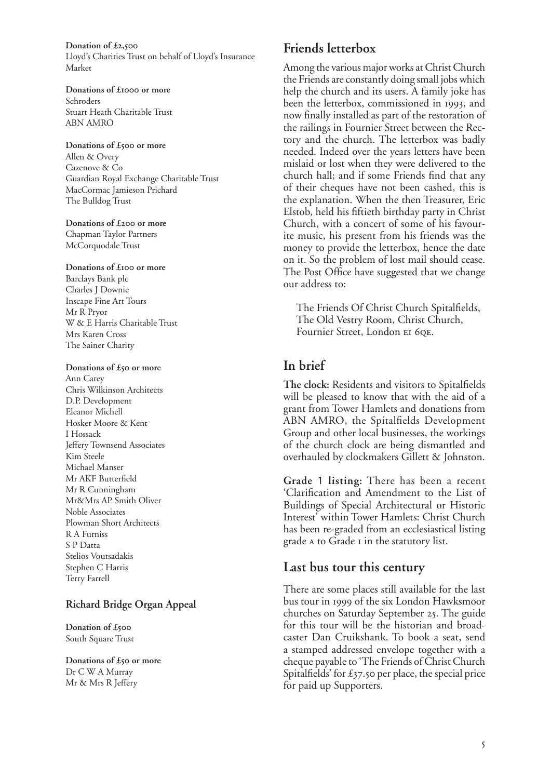**Donation of £,** Lloyd's Charities Trust on behalf of Lloyd's Insurance Market

Donations of £**1000** or more Schroders Stuart Heath Charitable Trust ABN AMRO

#### Donations of £500 or more Allen & Overy Cazenove & Co Guardian Royal Exchange Charitable Trust MacCormac Jamieson Prichard The Bulldog Trust

Donations of £200 or more Chapman Taylor Partners McCorquodale Trust

Donations of £<sup>100</sup> or more Barclays Bank plc Charles J Downie Inscape Fine Art Tours Mr R Pryor W & E Harris Charitable Trust Mrs Karen Cross The Sainer Charity

#### Donations of £50 or more

Ann Carey Chris Wilkinson Architects D.P. Development Eleanor Michell Hosker Moore & Kent I Hossack Jeffery Townsend Associates Kim Steele Michael Manser Mr AKF Butterfield Mr R Cunningham Mr&Mrs AP Smith Oliver Noble Associates Plowman Short Architects R A Furniss S P Datta Stelios Voutsadakis Stephen C Harris Terry Farrell

## **Richard Bridge Organ Appeal**

**Donation of £** South Square Trust

Donations of £50 or more Dr C W A Murray Mr & Mrs R Jeffery

# **Friends letterbox**

Among the various major works at Christ Church the Friends are constantly doing small jobs which help the church and its users. A family joke has been the letterbox, commissioned in 1993, and now finally installed as part of the restoration of the railings in Fournier Street between the Rectory and the church. The letterbox was badly needed. Indeed over the years letters have been mislaid or lost when they were delivered to the church hall; and if some Friends find that any of their cheques have not been cashed, this is the explanation. When the then Treasurer, Eric Elstob, held his fiftieth birthday party in Christ Church, with a concert of some of his favourite music, his present from his friends was the money to provide the letterbox, hence the date on it. So the problem of lost mail should cease. The Post Office have suggested that we change our address to:

The Friends Of Christ Church Spitalfields, The Old Vestry Room, Christ Church, Fournier Street, London EI 6QE.

# **In brief**

**The clock:** Residents and visitors to Spitalfields will be pleased to know that with the aid of a grant from Tower Hamlets and donations from ABN AMRO, the Spitalfields Development Group and other local businesses, the workings of the church clock are being dismantled and overhauled by clockmakers Gillett & Johnston.

**Grade** 1 **listing:** There has been a recent 'Clarification and Amendment to the List of Buildings of Special Architectural or Historic Interest' within Tower Hamlets: Christ Church has been re-graded from an ecclesiastical listing grade A to Grade I in the statutory list.

# **Last bus tour this century**

There are some places still available for the last bus tour in 1999 of the six London Hawksmoor churches on Saturday September 25. The guide for this tour will be the historian and broadcaster Dan Cruikshank. To book a seat, send a stamped addressed envelope together with a cheque payable to 'The Friends of Christ Church Spitalfields' for  $\pounds$ 37.50 per place, the special price for paid up Supporters.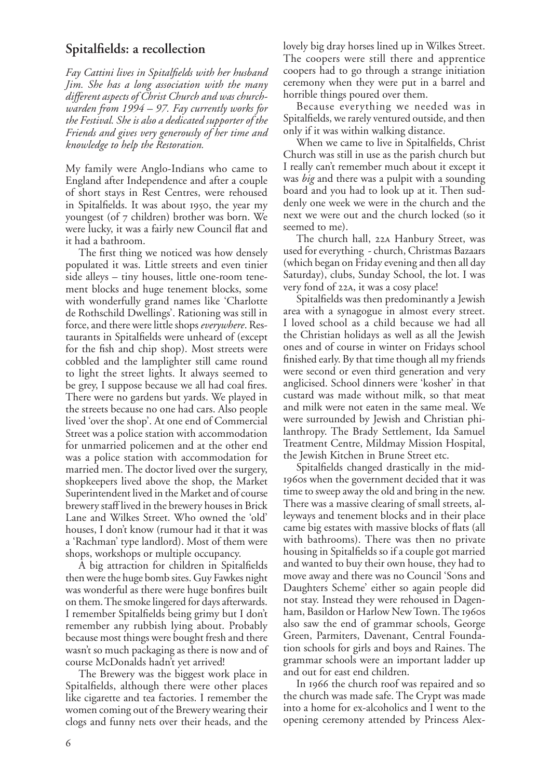## **Spitalfields: a recollection**

*Fay Cattini lives in Spitalfields with her husband Jim. She has a long association with the many different aspects of Christ Church and was churchwarden from 1994 – 97. Fay currently works for the Festival. She is also a dedicated supporter of the Friends and gives very generously of her time and knowledge to help the Restoration.*

My family were Anglo-Indians who came to England after Independence and after a couple of short stays in Rest Centres, were rehoused in Spitalfields. It was about 1950, the year my youngest (of 7 children) brother was born. We were lucky, it was a fairly new Council flat and it had a bathroom.

The first thing we noticed was how densely populated it was. Little streets and even tinier side alleys – tiny houses, little one-room tenement blocks and huge tenement blocks, some with wonderfully grand names like 'Charlotte de Rothschild Dwellings'. Rationing was still in force, and there were little shops *everywhere*. Restaurants in Spitalfields were unheard of (except for the fish and chip shop). Most streets were cobbled and the lamplighter still came round to light the street lights. It always seemed to be grey, I suppose because we all had coal fires. There were no gardens but yards. We played in the streets because no one had cars. Also people lived 'over the shop'. At one end of Commercial Street was a police station with accommodation for unmarried policemen and at the other end was a police station with accommodation for married men. The doctor lived over the surgery, shopkeepers lived above the shop, the Market Superintendent lived in the Market and of course brewery staff lived in the brewery houses in Brick Lane and Wilkes Street. Who owned the 'old' houses, I don't know (rumour had it that it was a 'Rachman' type landlord). Most of them were shops, workshops or multiple occupancy.

A big attraction for children in Spitalfields then were the huge bomb sites. Guy Fawkes night was wonderful as there were huge bonfires built on them. The smoke lingered for days afterwards. I remember Spitalfields being grimy but I don't remember any rubbish lying about. Probably because most things were bought fresh and there wasn't so much packaging as there is now and of course McDonalds hadn't yet arrived!

The Brewery was the biggest work place in Spitalfields, although there were other places like cigarette and tea factories. I remember the women coming out of the Brewery wearing their clogs and funny nets over their heads, and the

lovely big dray horses lined up in Wilkes Street. The coopers were still there and apprentice coopers had to go through a strange initiation ceremony when they were put in a barrel and horrible things poured over them.

Because everything we needed was in Spitalfields, we rarely ventured outside, and then only if it was within walking distance.

When we came to live in Spitalfields, Christ Church was still in use as the parish church but I really can't remember much about it except it was *big* and there was a pulpit with a sounding board and you had to look up at it. Then suddenly one week we were in the church and the next we were out and the church locked (so it seemed to me).

The church hall, 22A Hanbury Street, was used for everything - church, Christmas Bazaars (which began on Friday evening and then all day Saturday), clubs, Sunday School, the lot. I was very fond of 22A, it was a cosy place!

Spitalfields was then predominantly a Jewish area with a synagogue in almost every street. I loved school as a child because we had all the Christian holidays as well as all the Jewish ones and of course in winter on Fridays school finished early. By that time though all my friends were second or even third generation and very anglicised. School dinners were 'kosher' in that custard was made without milk, so that meat and milk were not eaten in the same meal. We were surrounded by Jewish and Christian philanthropy. The Brady Settlement, Ida Samuel Treatment Centre, Mildmay Mission Hospital, the Jewish Kitchen in Brune Street etc.

Spitalfields changed drastically in the mid- 1960s when the government decided that it was time to sweep away the old and bring in the new. There was a massive clearing of small streets, alleyways and tenement blocks and in their place came big estates with massive blocks of flats (all with bathrooms). There was then no private housing in Spitalfields so if a couple got married and wanted to buy their own house, they had to move away and there was no Council 'Sons and Daughters Scheme' either so again people did not stay. Instead they were rehoused in Dagenham, Basildon or Harlow New Town. The 1960s also saw the end of grammar schools, George Green, Parmiters, Davenant, Central Foundation schools for girls and boys and Raines. The grammar schools were an important ladder up and out for east end children.

In 1966 the church roof was repaired and so the church was made safe. The Crypt was made into a home for ex-alcoholics and I went to the opening ceremony attended by Princess Alex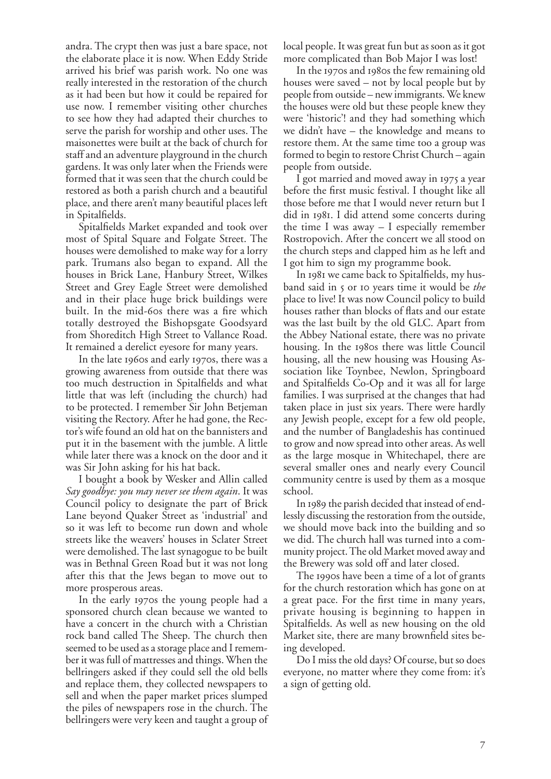andra. The crypt then was just a bare space, not the elaborate place it is now. When Eddy Stride arrived his brief was parish work. No one was really interested in the restoration of the church as it had been but how it could be repaired for use now. I remember visiting other churches to see how they had adapted their churches to serve the parish for worship and other uses. The maisonettes were built at the back of church for staff and an adventure playground in the church gardens. It was only later when the Friends were formed that it was seen that the church could be restored as both a parish church and a beautiful place, and there aren't many beautiful places left in Spitalfields.

Spitalfields Market expanded and took over most of Spital Square and Folgate Street. The houses were demolished to make way for a lorry park. Trumans also began to expand. All the houses in Brick Lane, Hanbury Street, Wilkes Street and Grey Eagle Street were demolished and in their place huge brick buildings were built. In the mid-60s there was a fire which totally destroyed the Bishopsgate Goodsyard from Shoreditch High Street to Vallance Road. It remained a derelict eyesore for many years.

In the late 1960s and early 1970s, there was a growing awareness from outside that there was too much destruction in Spitalfields and what little that was left (including the church) had to be protected. I remember Sir John Betjeman visiting the Rectory. After he had gone, the Rector's wife found an old hat on the bannisters and put it in the basement with the jumble. A little while later there was a knock on the door and it was Sir John asking for his hat back.

I bought a book by Wesker and Allin called *Say goodbye: you may never see them again*. It was Council policy to designate the part of Brick Lane beyond Quaker Street as 'industrial' and so it was left to become run down and whole streets like the weavers' houses in Sclater Street were demolished. The last synagogue to be built was in Bethnal Green Road but it was not long after this that the Jews began to move out to more prosperous areas.

In the early 1970s the young people had a sponsored church clean because we wanted to have a concert in the church with a Christian rock band called The Sheep. The church then seemed to be used as a storage place and I remember it was full of mattresses and things. When the bellringers asked if they could sell the old bells and replace them, they collected newspapers to sell and when the paper market prices slumped the piles of newspapers rose in the church. The bellringers were very keen and taught a group of local people. It was great fun but as soon as it got more complicated than Bob Major I was lost!

In the 1970s and 1980s the few remaining old houses were saved – not by local people but by people from outside – new immigrants. We knew the houses were old but these people knew they were 'historic'! and they had something which we didn't have – the knowledge and means to restore them. At the same time too a group was formed to begin to restore Christ Church – again people from outside.

I got married and moved away in 1975 a year before the first music festival. I thought like all those before me that I would never return but I did in 1981. I did attend some concerts during the time I was away – I especially remember Rostropovich. After the concert we all stood on the church steps and clapped him as he left and I got him to sign my programme book.

In 1981 we came back to Spitalfields, my husband said in 5 or 10 years time it would be *the* place to live! It was now Council policy to build houses rather than blocks of flats and our estate was the last built by the old GLC. Apart from the Abbey National estate, there was no private housing. In the 1980s there was little Council housing, all the new housing was Housing Association like Toynbee, Newlon, Springboard and Spitalfields Co-Op and it was all for large families. I was surprised at the changes that had taken place in just six years. There were hardly any Jewish people, except for a few old people, and the number of Bangladeshis has continued to grow and now spread into other areas. As well as the large mosque in Whitechapel, there are several smaller ones and nearly every Council community centre is used by them as a mosque school.

In 1989 the parish decided that instead of endlessly discussing the restoration from the outside, we should move back into the building and so we did. The church hall was turned into a community project. The old Market moved away and the Brewery was sold off and later closed.

The 1990s have been a time of a lot of grants for the church restoration which has gone on at a great pace. For the first time in many years, private housing is beginning to happen in Spitalfields. As well as new housing on the old Market site, there are many brownfield sites being developed.

Do I miss the old days? Of course, but so does everyone, no matter where they come from: it's a sign of getting old.